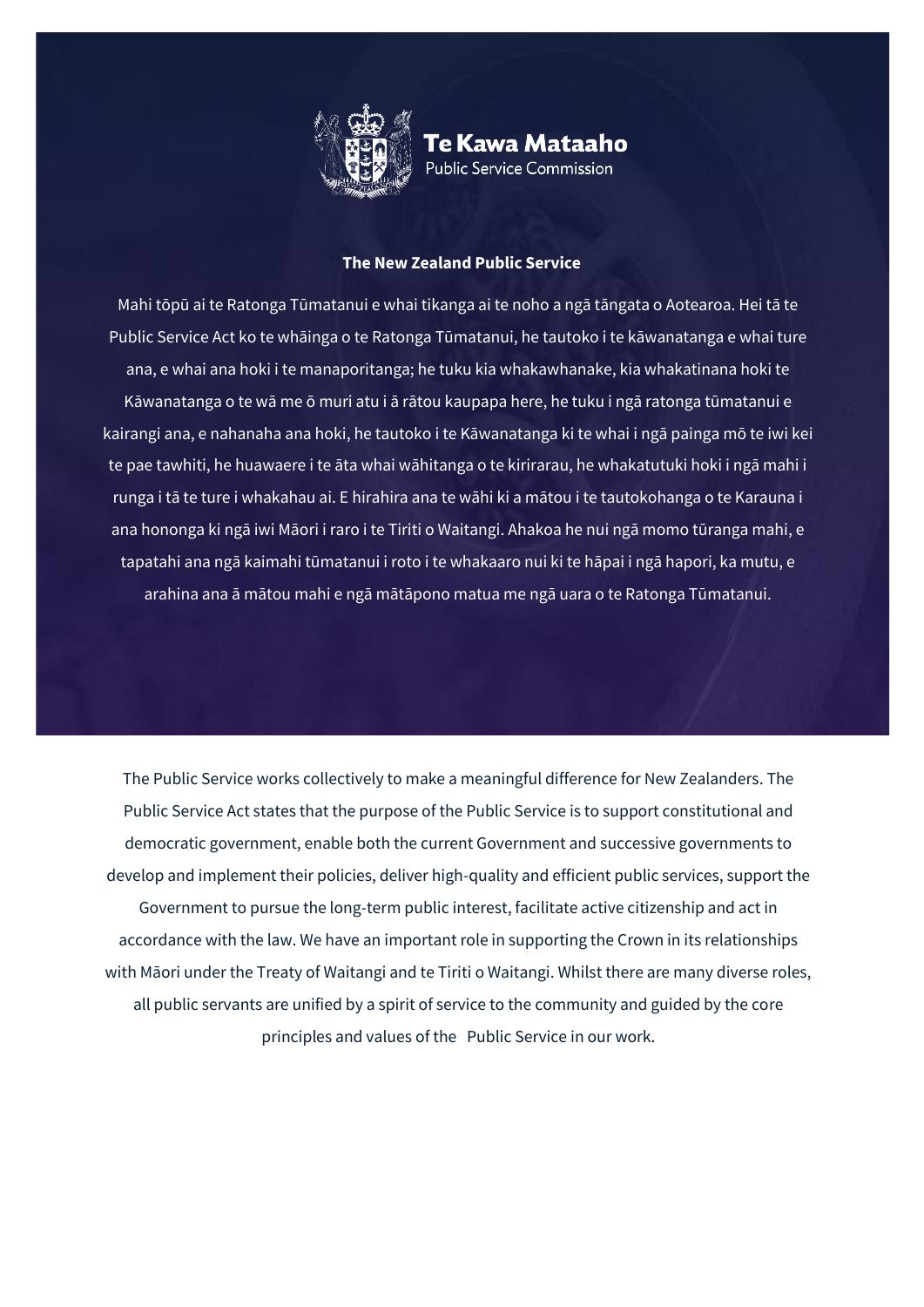

Te Kawa Mataaho **Public Service Commission** 

## **The New Zealand Public Service**

Mahi tōpū ai te Ratonga Tūmatanui e whai tikanga ai te noho a ngā tāngata o Aotearoa. Hei tā te Public Service Act ko te whāinga o te Ratonga Tūmatanui, he tautoko i te kāwanatanga e whai ture ana, e whai ana hoki i te manaporitanga; he tuku kia whakawhanake, kia whakatinana hoki te Kāwanatanga o te wā me ō muri atu i ā rātou kaupapa here, he tuku i ngā ratonga tūmatanui e kairangi ana, e nahanaha ana hoki, he tautoko i te Kāwanatanga ki te whai i ngā painga mō te iwi kei te pae tawhiti, he huawaere i te āta whai wāhitanga o te kirirarau, he whakatutuki hoki i ngā mahi i runga i tā te ture i whakahau ai. E hirahira ana te wāhi ki a mātou i te tautokohanga o te Karauna i ana hononga ki ngā iwi Māori i raro i te Tiriti o Waitangi. Ahakoa he nui ngā momo tūranga mahi, e tapatahi ana ngā kaimahi tūmatanui i roto i te whakaaro nui ki te hāpai i ngā hapori, ka mutu, e arahina ana ā mātou mahi e ngā mātāpono matua me ngā uara o te Ratonga Tūmatanui.

The Public Service works collectively to make a meaningful difference for New Zealanders. The Public Service Act states that the purpose of the Public Service is to support constitutional and democratic government, enable both the current Government and successive governments to develop and implement their policies, deliver high-quality and efficient public services, support the Government to pursue the long-term public interest, facilitate active citizenship and act in accordance with the law. We have an important role in supporting the Crown in its relationships with Māori under the Treaty of Waitangi and te Tiriti o Waitangi. Whilst there are many diverse roles, all public servants are unified by a spirit of service to the community and guided by the core principles and values of the Public Service in our work.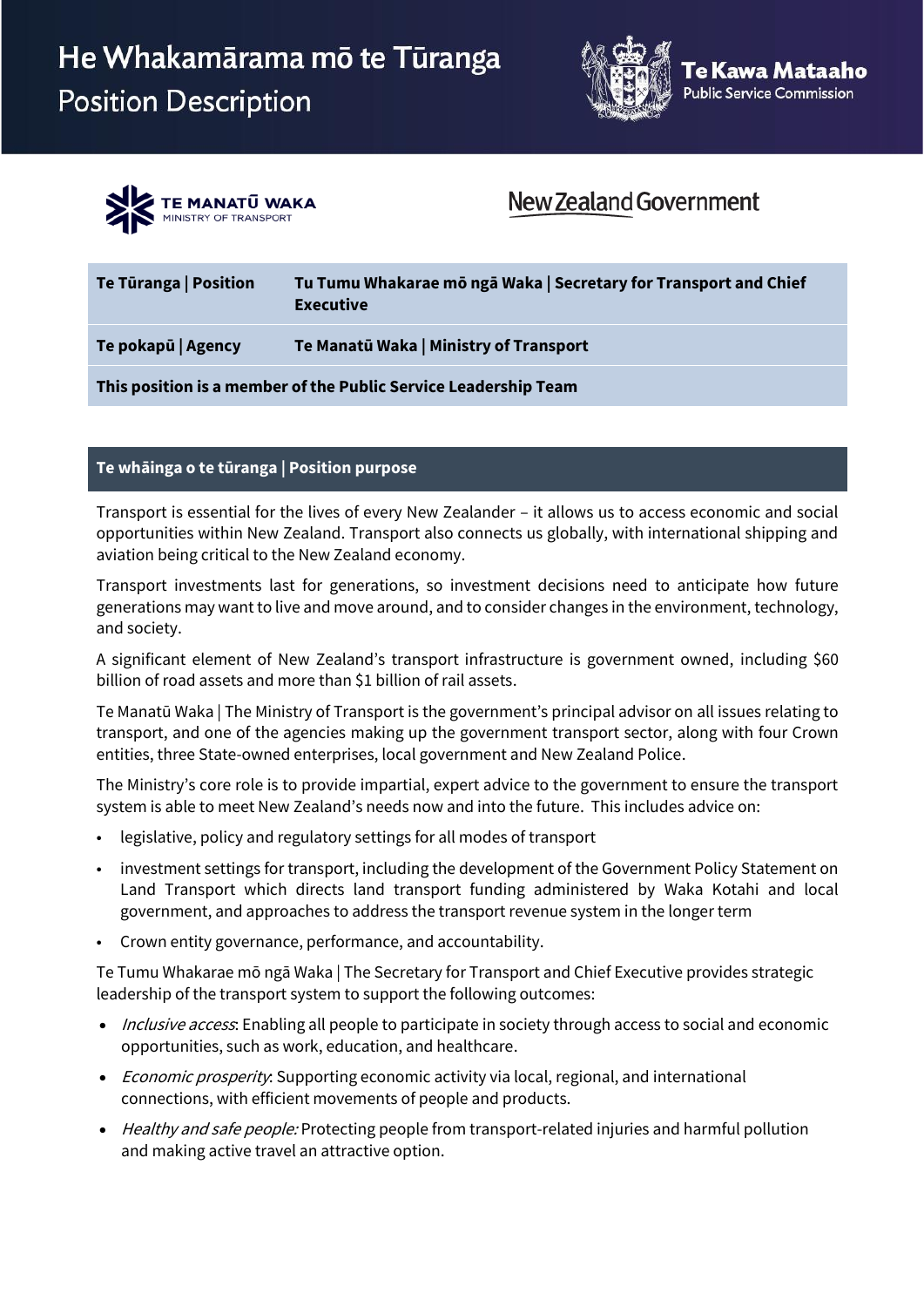



## New Zealand Government

| Te Türanga   Position | Tu Tumu Whakarae mō ngā Waka   Secretary for Transport and Chief<br><b>Executive</b> |
|-----------------------|--------------------------------------------------------------------------------------|
| Te pokapū   Agency    | Te Manatū Waka   Ministry of Transport                                               |
|                       | This position is a member of the Public Service Leadership Team                      |

## **Te whāinga o te tūranga | Position purpose**

Transport is essential for the lives of every New Zealander – it allows us to access economic and social opportunities within New Zealand. Transport also connects us globally, with international shipping and aviation being critical to the New Zealand economy.

Transport investments last for generations, so investment decisions need to anticipate how future generations may want to live and move around, and to consider changes in the environment, technology, and society.

A significant element of New Zealand's transport infrastructure is government owned, including \$60 billion of road assets and more than \$1 billion of rail assets.

Te Manatū Waka | The Ministry of Transport is the government's principal advisor on all issues relating to transport, and one of the agencies making up the government transport sector, along with four Crown entities, three State-owned enterprises, local government and New Zealand Police.

The Ministry's core role is to provide impartial, expert advice to the government to ensure the transport system is able to meet New Zealand's needs now and into the future. This includes advice on:

- legislative, policy and regulatory settings for all modes of transport
- investment settings for transport, including the development of the Government Policy Statement on Land Transport which directs land transport funding administered by Waka Kotahi and local government, and approaches to address the transport revenue system in the longer term
- Crown entity governance, performance, and accountability.

Te Tumu Whakarae mō ngā Waka | The Secretary for Transport and Chief Executive provides strategic leadership of the transport system to support the following outcomes:

- Inclusive access: Enabling all people to participate in society through access to social and economic opportunities, such as work, education, and healthcare.
- Economic prosperity: Supporting economic activity via local, regional, and international connections, with efficient movements of people and products.
- Healthy and safe people: Protecting people from transport-related injuries and harmful pollution and making active travel an attractive option.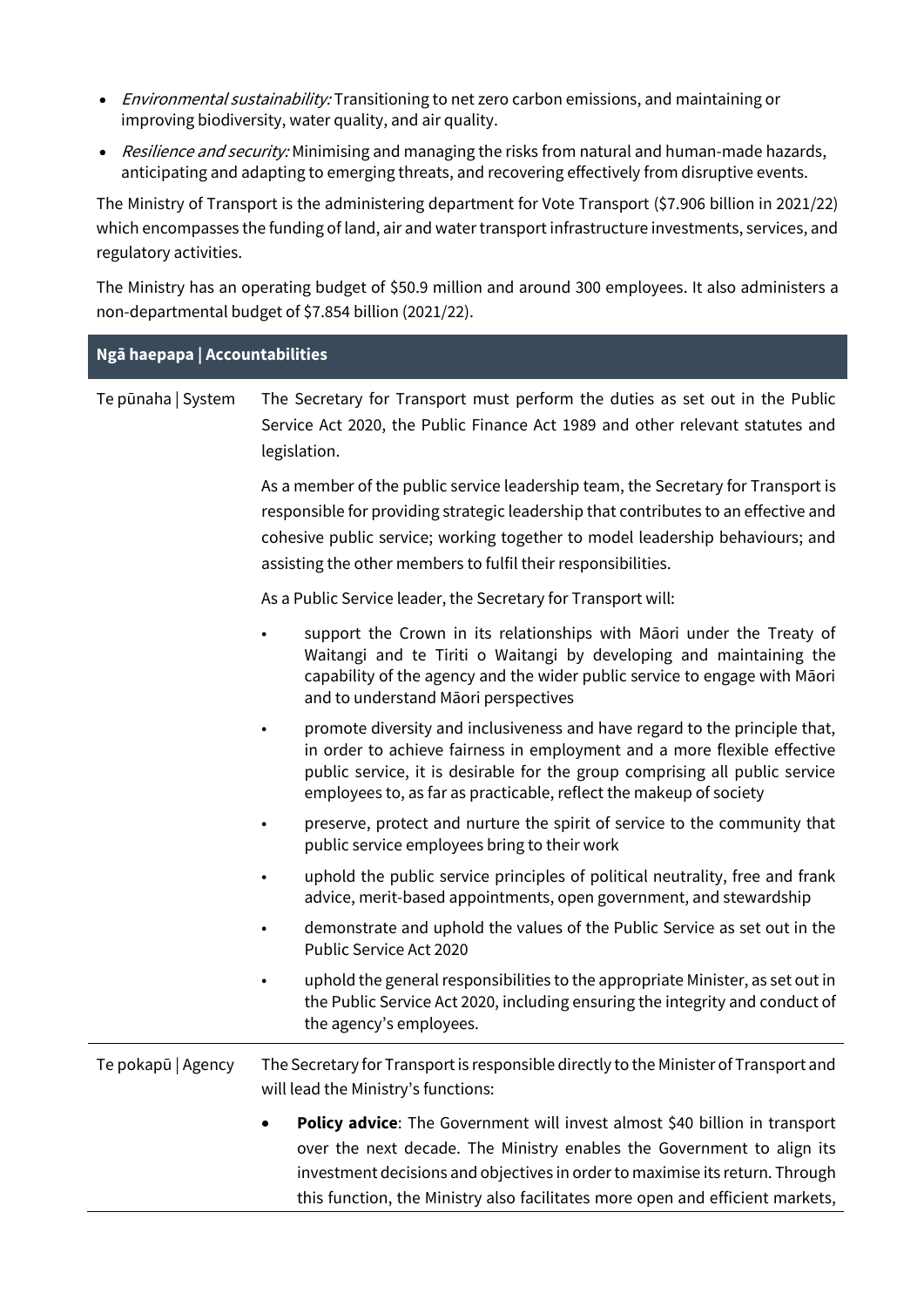- Environmental sustainability: Transitioning to net zero carbon emissions, and maintaining or improving biodiversity, water quality, and air quality.
- Resilience and security: Minimising and managing the risks from natural and human-made hazards, anticipating and adapting to emerging threats, and recovering effectively from disruptive events.

The Ministry of Transport is the administering department for Vote Transport (\$7.906 billion in 2021/22) which encompasses the funding of land, air and water transport infrastructure investments, services, and regulatory activities.

The Ministry has an operating budget of \$50.9 million and around 300 employees. It also administers a non-departmental budget of \$7.854 billion (2021/22).

| Ngā haepapa   Accountabilities |                                                                                                                                                                                                                                                                                                                            |  |
|--------------------------------|----------------------------------------------------------------------------------------------------------------------------------------------------------------------------------------------------------------------------------------------------------------------------------------------------------------------------|--|
| Te pūnaha   System             | The Secretary for Transport must perform the duties as set out in the Public<br>Service Act 2020, the Public Finance Act 1989 and other relevant statutes and<br>legislation.                                                                                                                                              |  |
|                                | As a member of the public service leadership team, the Secretary for Transport is<br>responsible for providing strategic leadership that contributes to an effective and<br>cohesive public service; working together to model leadership behaviours; and<br>assisting the other members to fulfil their responsibilities. |  |
|                                | As a Public Service leader, the Secretary for Transport will:                                                                                                                                                                                                                                                              |  |
|                                | support the Crown in its relationships with Māori under the Treaty of<br>Waitangi and te Tiriti o Waitangi by developing and maintaining the<br>capability of the agency and the wider public service to engage with Māori<br>and to understand Māori perspectives                                                         |  |
|                                | promote diversity and inclusiveness and have regard to the principle that,<br>$\bullet$<br>in order to achieve fairness in employment and a more flexible effective<br>public service, it is desirable for the group comprising all public service<br>employees to, as far as practicable, reflect the makeup of society   |  |
|                                | preserve, protect and nurture the spirit of service to the community that<br>public service employees bring to their work                                                                                                                                                                                                  |  |
|                                | uphold the public service principles of political neutrality, free and frank<br>advice, merit-based appointments, open government, and stewardship                                                                                                                                                                         |  |
|                                | demonstrate and uphold the values of the Public Service as set out in the<br>Public Service Act 2020                                                                                                                                                                                                                       |  |
|                                | uphold the general responsibilities to the appropriate Minister, as set out in<br>the Public Service Act 2020, including ensuring the integrity and conduct of<br>the agency's employees.                                                                                                                                  |  |
| Te pokapū   Agency             | The Secretary for Transport is responsible directly to the Minister of Transport and<br>will lead the Ministry's functions:                                                                                                                                                                                                |  |
|                                | Policy advice: The Government will invest almost \$40 billion in transport<br>over the next decade. The Ministry enables the Government to align its<br>investment decisions and objectives in order to maximise its return. Through<br>this function, the Ministry also facilitates more open and efficient markets,      |  |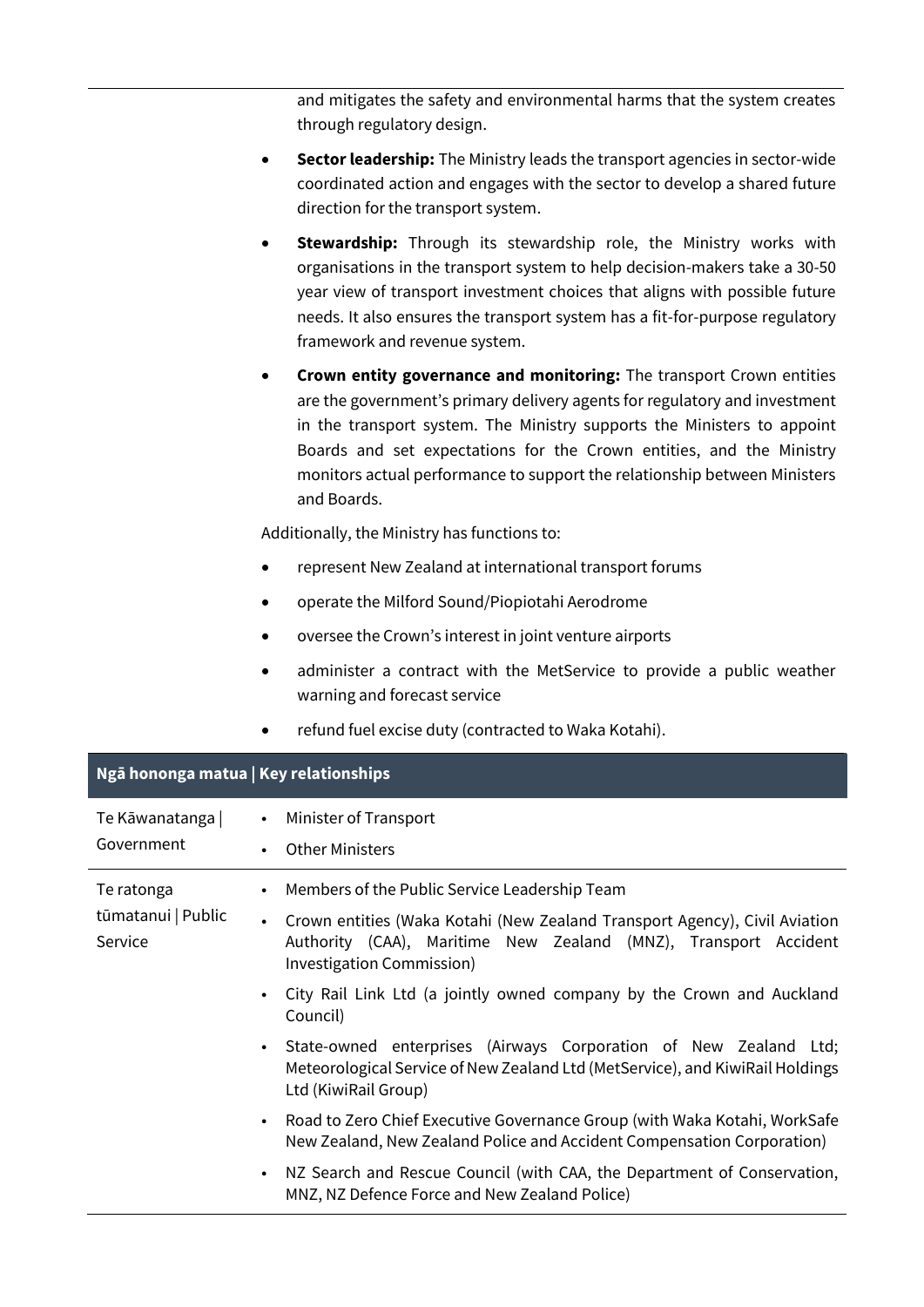and mitigates the safety and environmental harms that the system creates through regulatory design.

- **Sector leadership:** The Ministry leads the transport agencies in sector-wide coordinated action and engages with the sector to develop a shared future direction for the transport system.
- **Stewardship:** Through its stewardship role, the Ministry works with organisations in the transport system to help decision-makers take a 30-50 year view of transport investment choices that aligns with possible future needs. It also ensures the transport system has a fit-for-purpose regulatory framework and revenue system.
- **Crown entity governance and monitoring:** The transport Crown entities are the government's primary delivery agents for regulatory and investment in the transport system. The Ministry supports the Ministers to appoint Boards and set expectations for the Crown entities, and the Ministry monitors actual performance to support the relationship between Ministers and Boards.

Additionally, the Ministry has functions to:

- represent New Zealand at international transport forums
- operate the Milford Sound/Piopiotahi Aerodrome
- oversee the Crown's interest in joint venture airports
- administer a contract with the MetService to provide a public weather warning and forecast service
- refund fuel excise duty (contracted to Waka Kotahi).

| Ngā hononga matua   Key relationships       |                                                                                                                                                                                                                               |  |  |
|---------------------------------------------|-------------------------------------------------------------------------------------------------------------------------------------------------------------------------------------------------------------------------------|--|--|
| Te Kāwanatanga  <br>Government              | Minister of Transport<br>$\bullet$<br><b>Other Ministers</b><br>$\bullet$                                                                                                                                                     |  |  |
| Te ratonga<br>tūmatanui   Public<br>Service | Members of the Public Service Leadership Team<br>• Crown entities (Waka Kotahi (New Zealand Transport Agency), Civil Aviation<br>Authority (CAA), Maritime New Zealand (MNZ), Transport Accident<br>Investigation Commission) |  |  |
|                                             | City Rail Link Ltd (a jointly owned company by the Crown and Auckland<br>Council)                                                                                                                                             |  |  |
|                                             | State-owned enterprises (Airways Corporation of New Zealand Ltd;<br>Meteorological Service of New Zealand Ltd (MetService), and KiwiRail Holdings<br>Ltd (KiwiRail Group)                                                     |  |  |
|                                             | Road to Zero Chief Executive Governance Group (with Waka Kotahi, WorkSafe<br>New Zealand, New Zealand Police and Accident Compensation Corporation)                                                                           |  |  |
|                                             | NZ Search and Rescue Council (with CAA, the Department of Conservation,<br>MNZ, NZ Defence Force and New Zealand Police)                                                                                                      |  |  |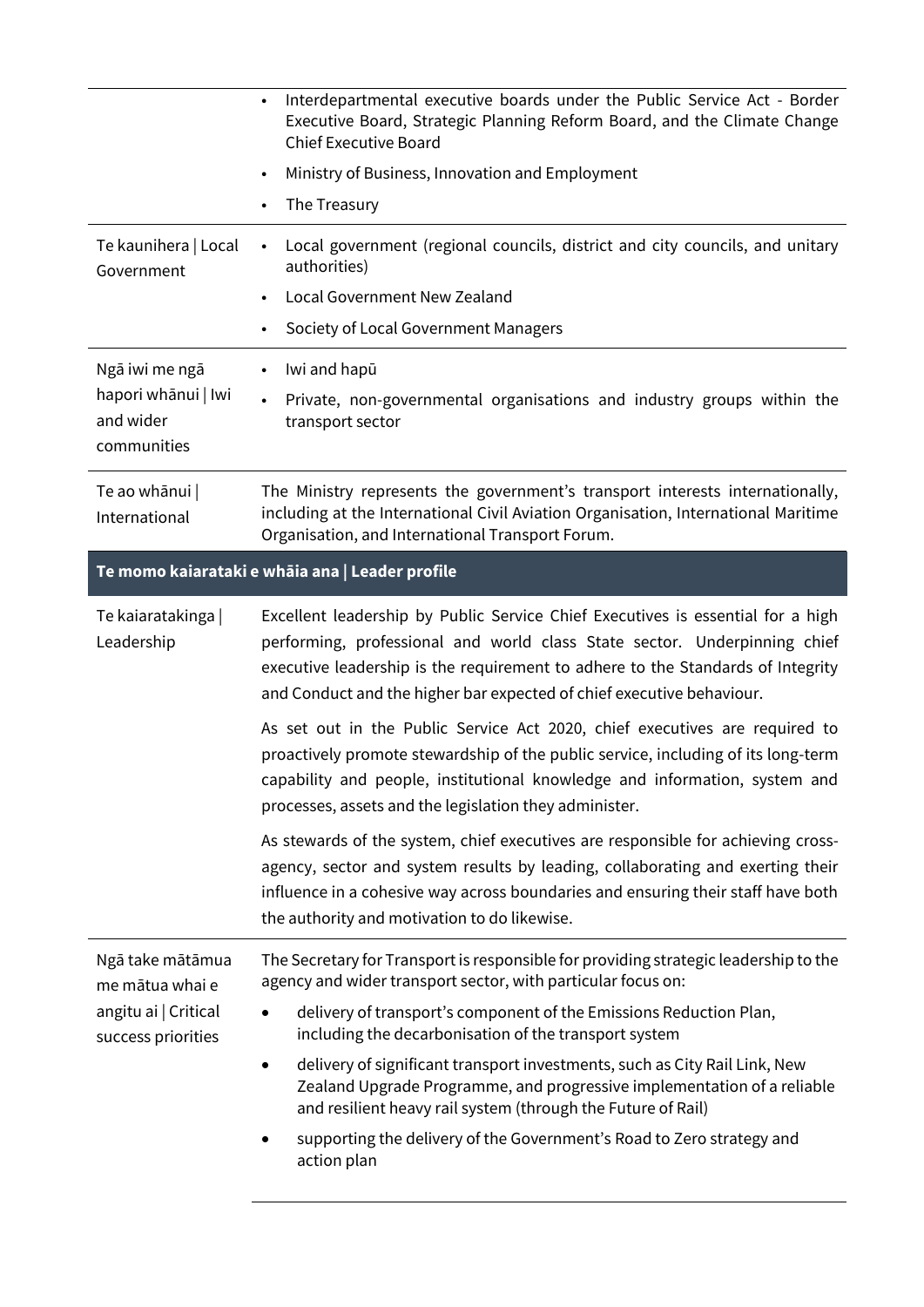|                                                                                   | Interdepartmental executive boards under the Public Service Act - Border<br>$\bullet$<br>Executive Board, Strategic Planning Reform Board, and the Climate Change<br><b>Chief Executive Board</b>                                                                                                                        |
|-----------------------------------------------------------------------------------|--------------------------------------------------------------------------------------------------------------------------------------------------------------------------------------------------------------------------------------------------------------------------------------------------------------------------|
|                                                                                   | Ministry of Business, Innovation and Employment<br>$\bullet$                                                                                                                                                                                                                                                             |
|                                                                                   | The Treasury<br>$\bullet$                                                                                                                                                                                                                                                                                                |
| Te kaunihera   Local<br>Government                                                | Local government (regional councils, district and city councils, and unitary<br>$\bullet$<br>authorities)                                                                                                                                                                                                                |
|                                                                                   | Local Government New Zealand<br>$\bullet$                                                                                                                                                                                                                                                                                |
|                                                                                   | Society of Local Government Managers<br>$\bullet$                                                                                                                                                                                                                                                                        |
| Ngā iwi me ngā<br>hapori whānui   Iwi<br>and wider<br>communities                 | Iwi and hapū<br>$\bullet$                                                                                                                                                                                                                                                                                                |
|                                                                                   | Private, non-governmental organisations and industry groups within the<br>transport sector                                                                                                                                                                                                                               |
| Te ao whānui  <br>International                                                   | The Ministry represents the government's transport interests internationally,<br>including at the International Civil Aviation Organisation, International Maritime<br>Organisation, and International Transport Forum.                                                                                                  |
|                                                                                   | Te momo kaiarataki e whāia ana   Leader profile                                                                                                                                                                                                                                                                          |
| Te kaiaratakinga  <br>Leadership                                                  | Excellent leadership by Public Service Chief Executives is essential for a high<br>performing, professional and world class State sector. Underpinning chief<br>executive leadership is the requirement to adhere to the Standards of Integrity<br>and Conduct and the higher bar expected of chief executive behaviour. |
|                                                                                   | As set out in the Public Service Act 2020, chief executives are required to<br>proactively promote stewardship of the public service, including of its long-term<br>capability and people, institutional knowledge and information, system and<br>processes, assets and the legislation they administer.                 |
|                                                                                   | As stewards of the system, chief executives are responsible for achieving cross-<br>agency, sector and system results by leading, collaborating and exerting their<br>influence in a cohesive way across boundaries and ensuring their staff have both<br>the authority and motivation to do likewise.                   |
| Ngā take mātāmua<br>me mātua whai e<br>angitu ai   Critical<br>success priorities | The Secretary for Transport is responsible for providing strategic leadership to the<br>agency and wider transport sector, with particular focus on:                                                                                                                                                                     |
|                                                                                   | delivery of transport's component of the Emissions Reduction Plan,<br>$\bullet$<br>including the decarbonisation of the transport system                                                                                                                                                                                 |
|                                                                                   | delivery of significant transport investments, such as City Rail Link, New<br>٠<br>Zealand Upgrade Programme, and progressive implementation of a reliable<br>and resilient heavy rail system (through the Future of Rail)                                                                                               |
|                                                                                   | supporting the delivery of the Government's Road to Zero strategy and                                                                                                                                                                                                                                                    |